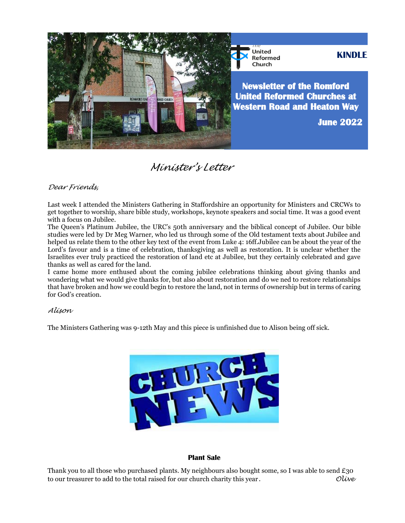

United<br>Reformed **KINDLE** Church

**Newsletter of the Romford United Reformed Churches at Western Road and Heaton Way** 

**June 2022**

*Minister's Letter* 

## *Dear Friends,*

Last week I attended the Ministers Gathering in Staffordshire an opportunity for Ministers and CRCWs to get together to worship, share bible study, workshops, keynote speakers and social time. It was a good event with a focus on Jubilee.

The Queen's Platinum Jubilee, the URC's 50th anniversary and the biblical concept of Jubilee. Our bible studies were led by Dr Meg Warner, who led us through some of the Old testament texts about Jubilee and helped us relate them to the other key text of the event from Luke 4: 16ff.Jubilee can be about the year of the Lord's favour and is a time of celebration, thanksgiving as well as restoration. It is unclear whether the Israelites ever truly practiced the restoration of land etc at Jubilee, but they certainly celebrated and gave thanks as well as cared for the land.

I came home more enthused about the coming jubilee celebrations thinking about giving thanks and wondering what we would give thanks for, but also about restoration and do we ned to restore relationships that have broken and how we could begin to restore the land, not in terms of ownership but in terms of caring for God's creation.

## *Alison*

The Ministers Gathering was 9-12th May and this piece is unfinished due to Alison being off sick.



## **Plant Sale**

Thank you to all those who purchased plants. My neighbours also bought some, so I was able to send £30 to our treasurer to add to the total raised for our church charity this year*. Olive*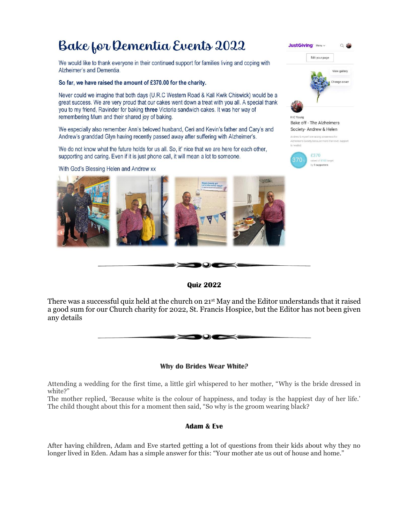# Bake for Dementia Events 2022

We would like to thank everyone in their continued support for families living and coping with Alzheimer's and Dementia.

So far, we have raised the amount of £370.00 for the charity.

Never could we imagine that both days (U.R.C Western Road & Kall Kwik Chiswick) would be a great success. We are very proud that our cakes went down a treat with you all. A special thank you to my friend, Ravinder for baking three Victoria sandwich cakes. It was her way of remembering Mum and their shared joy of baking.

We especially also remember Ann's beloved husband. Ceri and Kevin's father and Cary's and Andrew's granddad Glyn having recently passed away after suffering with Alzheimer's.

We do not know what the future holds for us all. So, it' nice that we are here for each other, supporting and caring. Even if it is just phone call, it will mean a lot to someone.

With God's Blessing Helen and Andrew xx





## **Quiz 2022**

There was a successful quiz held at the church on 21<sup>st</sup> May and the Editor understands that it raised a good sum for our Church charity for 2022, St. Francis Hospice, but the Editor has not been given any details



## **Why do Brides Wear White?**

Attending a wedding for the first time, a little girl whispered to her mother, "Why is the bride dressed in white?"

The mother replied, 'Because white is the colour of happiness, and today is the happiest day of her life.' The child thought about this for a moment then said, "So why is the groom wearing black?

## **Adam & Eve**

After having children, Adam and Eve started getting a lot of questions from their kids about why they no longer lived in Eden. Adam has a simple answer for this: "Your mother ate us out of house and home."



**Bake off - The Alzheimers** Society- Andrew & Helen Andrew & myself are raising awareness for

£370

370



raised of £100 ta<br>by 9 supporters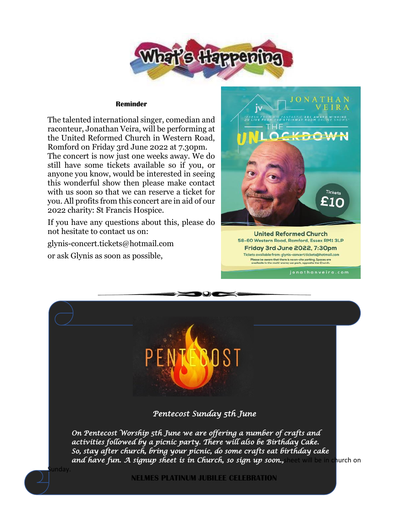

#### **Reminder**

The talented international singer, comedian and raconteur, Jonathan Veira, will be performing at the United Reformed Church in Western Road, Romford on Friday 3rd June 2022 at 7.30pm.

The concert is now just one weeks away. We do still have some tickets available so if you, or anyone you know, would be interested in seeing this wonderful show then please make contact with us soon so that we can reserve a ticket for you. All profits from this concert are in aid of our 2022 charity: St Francis Hospice.

If you have any questions about this, please do not hesitate to contact us on:

glynis-concert.tickets@hotmail.com

or ask Glynis as soon as possible,

ınday



**United Reformed Church** 58-60 Western Road, Romford, Essex RM1 3LP Friday 3rd June 2022, 7:30pm Tickets available from: glynis-concert.tickets@hotmail.com Please be aware that there is no on-site parking. Spaces are<br>available in the multi-storey car park, opposite the Church.

*Pentecost Sunday 5th June*

 $\odot$ c

*On Pentecost Worship 5th June we are offering a number of crafts and activities followed by a picnic party. There will also be Birthday Cake. So, stay after church, bring your picnic, do some crafts eat birthday cake and have fun. A signup sheet is in Church, so sign up soon.,*sheet will be in church on

**NELMES PLATINUM JUBILEE CELEBRATION**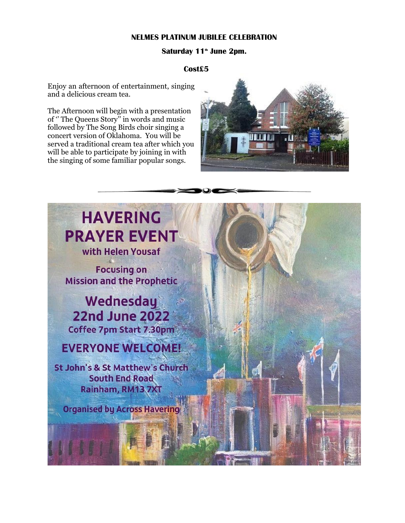## **NELMES PLATINUM JUBILEE CELEBRATION**

## **Saturday 11th June 2pm.**

## **Cost£5**

Enjoy an afternoon of entertainment, singing and a delicious cream tea.

The Afternoon will begin with a presentation of '' The Queens Story'' in words and music followed by The Song Birds choir singing a concert version of Oklahoma. You will be served a traditional cream tea after which you will be able to participate by joining in with the singing of some familiar popular songs.



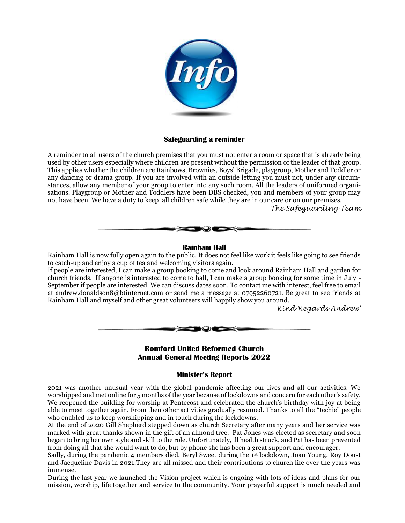

## **Safeguarding a reminder**

A reminder to all users of the church premises that you must not enter a room or space that is already being used by other users especially where children are present without the permission of the leader of that group. This applies whether the children are Rainbows, Brownies, Boys' Brigade, playgroup, Mother and Toddler or any dancing or drama group. If you are involved with an outside letting you must not, under any circumstances, allow any member of your group to enter into any such room. All the leaders of uniformed organisations. Playgroup or Mother and Toddlers have been DBS checked, you and members of your group may not have been. We have a duty to keep all children safe while they are in our care or on our premises.

*The Safeguarding Team*



## **Rainham Hall**

Rainham Hall is now fully open again to the public. It does not feel like work it feels like going to see friends to catch-up and enjoy a cup of tea and welcoming visitors again.

If people are interested, I can make a group booking to come and look around Rainham Hall and garden for church friends. If anyone is interested to come to hall, I can make a group booking for some time in July - September if people are interested. We can discuss dates soon. To contact me with interest, feel free to email at andrew.donaldson8@btinternet.com or send me a message at 07952260721. Be great to see friends at Rainham Hall and myself and other great volunteers will happily show you around.

*Kind Regards Andrew'*



 $\rightarrow$   $\rightarrow$   $\rightarrow$   $\rightarrow$ 

## **Minister's Report**

2021 was another unusual year with the global pandemic affecting our lives and all our activities. We worshipped and met online for 5 months of the year because of lockdowns and concern for each other's safety. We reopened the building for worship at Pentecost and celebrated the church's birthday with joy at being able to meet together again. From then other activities gradually resumed. Thanks to all the "techie" people who enabled us to keep worshipping and in touch during the lockdowns.

At the end of 2020 Gill Shepherd stepped down as church Secretary after many years and her service was marked with great thanks shown in the gift of an almond tree. Pat Jones was elected as secretary and soon began to bring her own style and skill to the role. Unfortunately, ill health struck, and Pat has been prevented from doing all that she would want to do, but by phone she has been a great support and encourager.

Sadly, during the pandemic 4 members died, Beryl Sweet during the 1st lockdown, Joan Young, Roy Doust and Jacqueline Davis in 2021.They are all missed and their contributions to church life over the years was immense.

During the last year we launched the Vision project which is ongoing with lots of ideas and plans for our mission, worship, life together and service to the community. Your prayerful support is much needed and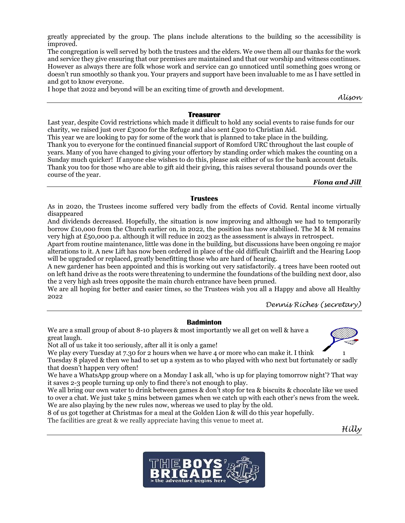greatly appreciated by the group. The plans include alterations to the building so the accessibility is improved.

The congregation is well served by both the trustees and the elders. We owe them all our thanks for the work and service they give ensuring that our premises are maintained and that our worship and witness continues. However as always there are folk whose work and service can go unnoticed until something goes wrong or doesn't run smoothly so thank you. Your prayers and support have been invaluable to me as I have settled in and got to know everyone.

I hope that 2022 and beyond will be an exciting time of growth and development.

*Alison*

## **Treasurer**

Last year, despite Covid restrictions which made it difficult to hold any social events to raise funds for our charity, we raised just over £3000 for the Refuge and also sent £300 to Christian Aid. This year we are looking to pay for some of the work that is planned to take place in the building. Thank you to everyone for the continued financial support of Romford URC throughout the last couple of years. Many of you have changed to giving your offertory by standing order which makes the counting on a Sunday much quicker! If anyone else wishes to do this, please ask either of us for the bank account details. Thank you too for those who are able to gift aid their giving, this raises several thousand pounds over the course of the year.

*Fiona and Jill*

## **Trustees**

As in 2020, the Trustees income suffered very badly from the effects of Covid. Rental income virtually disappeared

And dividends decreased. Hopefully, the situation is now improving and although we had to temporarily borrow £10,000 from the Church earlier on, in 2022, the position has now stabilised. The M & M remains very high at £50,000 p.a. although it will reduce in 2023 as the assessment is always in retrospect.

Apart from routine maintenance, little was done in the building, but discussions have been ongoing re major alterations to it. A new Lift has now been ordered in place of the old difficult Chairlift and the Hearing Loop will be upgraded or replaced, greatly benefitting those who are hard of hearing.

A new gardener has been appointed and this is working out very satisfactorily. 4 trees have been rooted out on left hand drive as the roots were threatening to undermine the foundations of the building next door, also the 2 very high ash trees opposite the main church entrance have been pruned.

We are all hoping for better and easier times, so the Trustees wish you all a Happy and above all Healthy 2022

*Dennis Riches (secretary)*

## **Badminton**

We are a small group of about 8-10 players & most importantly we all get on well & have a great laugh.

Not all of us take it too seriously, after all it is only a game!

We play every Tuesday at 7.30 for 2 hours when we have 4 or more who can make it. I think  $\sim$  1

Tuesday 8 played & then we had to set up a system as to who played with who next but fortunately or sadly that doesn't happen very often!

We have a WhatsApp group where on a Monday I ask all, 'who is up for playing tomorrow night'? That way it saves 2-3 people turning up only to find there's not enough to play.

We all bring our own water to drink between games & don't stop for tea & biscuits & chocolate like we used to over a chat. We just take 5 mins between games when we catch up with each other's news from the week. We are also playing by the new rules now, whereas we used to play by the old.

8 of us got together at Christmas for a meal at the Golden Lion & will do this year hopefully.

The facilities are great & we really appreciate having this venue to meet at.

*Hilly*

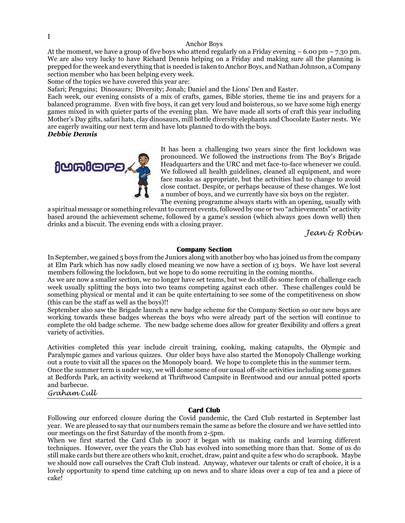I

#### Anchor Boys

At the moment, we have a group of five boys who attend regularly on a Friday evening  $-6.00 \text{ pm} - 7.30 \text{ pm}$ . We are also very lucky to have Richard Dennis helping on a Friday and making sure all the planning is prepped for the week and everything that is needed is taken to Anchor Boys, and Nathan Johnson, a Company section member who has been helping every week.

Some of the topics we have covered this year are:

Safari; Penguins; Dinosaurs; Diversity; Jonah; Daniel and the Lions' Den and Easter.

Each week, our evening consists of a mix of crafts, games, Bible stories, theme tie ins and prayers for a balanced programme. Even with five boys, it can get very loud and boisterous, so we have some high energy games mixed in with quieter parts of the evening plan. We have made all sorts of craft this year including Mother's Day gifts, safari hats, clay dinosaurs, mill bottle diversity elephants and Chocolate Easter nests. We are eagerly awaiting our next term and have lots planned to do with the boys.

*Debbie Dennis*



It has been a challenging two years since the first lockdown was pronounced. We followed the instructions from The Boy's Brigade Headquarters and the URC and met face-to-face whenever we could. We followed all health guidelines, cleaned all equipment, and wore face masks as appropriate, but the activities had to change to avoid close contact. Despite, or perhaps because of these changes. We lost a number of boys, and we currently have six boys on the register.

The evening programme always starts with an opening, usually with a spiritual message or something relevant to current events, followed by one or two "achievements" or activity based around the achievement scheme, followed by a game's session (which always goes down well) then drinks and a biscuit. The evening ends with a closing prayer.

*Jean & Robin*

#### **Company Section**

In September, we gained 5 boys from the Juniors along with another boy who has joined us from the company at Elm Park which has now sadly closed meaning we now have a section of 13 boys. We have lost several members following the lockdown, but we hope to do some recruiting in the coming months.

As we are now a smaller section, we no longer have set teams, but we do still do some form of challenge each week usually splitting the boys into two teams competing against each other. These challenges could be something physical or mental and it can be quite entertaining to see some of the competitiveness on show (this can be the staff as well as the boys)!!

September also saw the Brigade launch a new badge scheme for the Company Section so our new boys are working towards these badges whereas the boys who were already part of the section will continue to complete the old badge scheme. The new badge scheme does allow for greater flexibility and offers a great variety of activities.

Activities completed this year include circuit training, cooking, making catapults, the Olympic and Paralympic games and various quizzes. Our older boys have also started the Monopoly Challenge working out a route to visit all the spaces on the Monopoly board. We hope to complete this in the summer term.

Once the summer term is under way, we will dome some of our usual off-site activities including some games at Bedfords Park, an activity weekend at Thriftwood Campsite in Brentwood and our annual potted sports and barbecue.

## *Graham Cull*

## **Card Club**

Following our enforced closure during the Covid pandemic, the Card Club restarted in September last year. We are pleased to say that our numbers remain the same as before the closure and we have settled into our meetings on the first Saturday of the month from 2-5pm.

When we first started the Card Club in 2007 it began with us making cards and learning different techniques. However, over the years the Club has evolved into something more than that. Some of us do still make cards but there are others who knit, crochet, draw, paint and quite a few who do scrapbook. Maybe we should now call ourselves the Craft Club instead. Anyway, whatever our talents or craft of choice, it is a lovely opportunity to spend time catching up on news and to share ideas over a cup of tea and a piece of cake!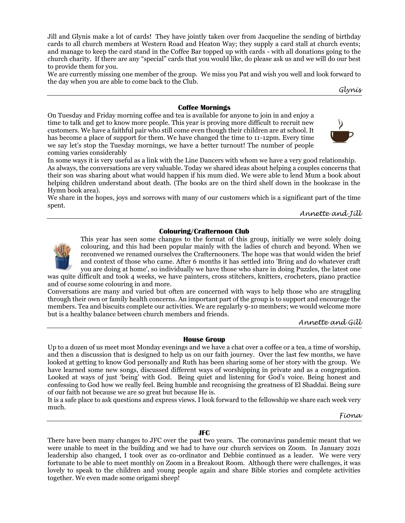Jill and Glynis make a lot of cards! They have jointly taken over from Jacqueline the sending of birthday cards to all church members at Western Road and Heaton Way; they supply a card stall at church events; and manage to keep the card stand in the Coffee Bar topped up with cards - with all donations going to the church charity. If there are any "special" cards that you would like, do please ask us and we will do our best to provide them for you.

We are currently missing one member of the group. We miss you Pat and wish you well and look forward to the day when you are able to come back to the Club.

*Glynis*

#### **Coffee Mornings**

On Tuesday and Friday morning coffee and tea is available for anyone to join in and enjoy a time to talk and get to know more people. This year is proving more difficult to recruit new customers. We have a faithful pair who still come even though their children are at school. It has become a place of support for them. We have changed the time to 11-12pm. Every time we say let's stop the Tuesday mornings, we have a better turnout! The number of people coming varies considerably



In some ways it is very useful as a link with the Line Dancers with whom we have a very good relationship. As always, the conversations are very valuable. Today we shared ideas about helping a couples concerns that their son was sharing about what would happen if his mum died. We were able to lend Mum a book about helping children understand about death. (The books are on the third shelf down in the bookcase in the Hymn book area).

We share in the hopes, joys and sorrows with many of our customers which is a significant part of the time spent.

*Annette and Jill*

#### **Colouring/Crafternoon Club**



This year has seen some changes to the format of this group, initially we were solely doing colouring, and this had been popular mainly with the ladies of church and beyond. When we reconvened we renamed ourselves the Crafternooners. The hope was that would widen the brief and context of those who came. After 6 months it has settled into 'Bring and do whatever craft you are doing at home', so individually we have those who share in doing Puzzles, the latest one

was quite difficult and took 4 weeks, we have painters, cross stitchers, knitters, crocheters, piano practice and of course some colouring in and more.

Conversations are many and varied but often are concerned with ways to help those who are struggling through their own or family health concerns. An important part of the group is to support and encourage the members. Tea and biscuits complete our activities. We are regularly 9-10 members; we would welcome more but is a healthy balance between church members and friends.

*Annette and Gill*

#### **House Group**

Up to a dozen of us meet most Monday evenings and we have a chat over a coffee or a tea, a time of worship, and then a discussion that is designed to help us on our faith journey. Over the last few months, we have looked at getting to know God personally and Ruth has been sharing some of her story with the group. We have learned some new songs, discussed different ways of worshipping in private and as a congregation. Looked at ways of just 'being' with God. Being quiet and listening for God's voice. Being honest and confessing to God how we really feel. Being humble and recognising the greatness of El Shaddai. Being sure of our faith not because we are so great but because He is.

It is a safe place to ask questions and express views. I look forward to the fellowship we share each week very much.

*Fiona*

#### **JFC**

There have been many changes to JFC over the past two years. The coronavirus pandemic meant that we were unable to meet in the building and we had to have our church services on Zoom. In January 2021 leadership also changed, I took over as co-ordinator and Debbie continued as a leader. We were very fortunate to be able to meet monthly on Zoom in a Breakout Room. Although there were challenges, it was lovely to speak to the children and young people again and share Bible stories and complete activities together. We even made some origami sheep!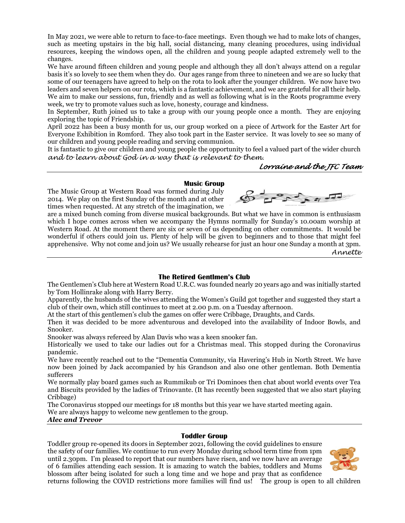In May 2021, we were able to return to face-to-face meetings. Even though we had to make lots of changes, such as meeting upstairs in the big hall, social distancing, many cleaning procedures, using individual resources, keeping the windows open, all the children and young people adapted extremely well to the changes.

We have around fifteen children and young people and although they all don't always attend on a regular basis it's so lovely to see them when they do. Our ages range from three to nineteen and we are so lucky that some of our teenagers have agreed to help on the rota to look after the younger children. We now have two leaders and seven helpers on our rota, which is a fantastic achievement, and we are grateful for all their help. We aim to make our sessions, fun, friendly and as well as following what is in the Roots programme every week, we try to promote values such as love, honesty, courage and kindness.

In September, Ruth joined us to take a group with our young people once a month. They are enjoying exploring the topic of Friendship.

April 2022 has been a busy month for us, our group worked on a piece of Artwork for the Easter Art for Everyone Exhibition in Romford. They also took part in the Easter service. It was lovely to see so many of our children and young people reading and serving communion.

It is fantastic to give our children and young people the opportunity to feel a valued part of the wider church *and to learn about God in a way that is relevant to them.*

*Lorraine and the JFC Team*

#### **Music Group**

The Music Group at Western Road was formed during July 2014. We play on the first Sunday of the month and at other times when requested. At any stretch of the imagination, we

are a mixed bunch coming from diverse musical backgrounds. But what we have in common is enthusiasm which I hope comes across when we accompany the Hymns normally for Sunday's 10.00am worship at Western Road. At the moment there are six or seven of us depending on other commitments. It would be wonderful if others could join us. Plenty of help will be given to beginners and to those that might feel apprehensive. Why not come and join us? We usually rehearse for just an hour one Sunday a month at 3pm.

*Annette*

#### **The Retired Gentlmen's Club**

The Gentlemen's Club here at Western Road U.R.C. was founded nearly 20 years ago and was initially started by Tom Hollinrake along with Harry Berry.

Apparently, the husbands of the wives attending the Women's Guild got together and suggested they start a club of their own, which still continues to meet at 2.00 p.m. on a Tuesday afternoon.

At the start of this gentlemen's club the games on offer were Cribbage, Draughts, and Cards.

Then it was decided to be more adventurous and developed into the availability of Indoor Bowls, and Snooker.

Snooker was always refereed by Alan Davis who was a keen snooker fan.

Historically we used to take our ladies out for a Christmas meal. This stopped during the Coronavirus pandemic.

We have recently reached out to the "Dementia Community, via Havering's Hub in North Street. We have now been joined by Jack accompanied by his Grandson and also one other gentleman. Both Dementia sufferers

We normally play board games such as Rummikub or Tri Dominoes then chat about world events over Tea and Biscuits provided by the ladies of Trinovante. (It has recently been suggested that we also start playing Cribbage)

The Coronavirus stopped our meetings for 18 months but this year we have started meeting again.

We are always happy to welcome new gentlemen to the group.

*Alec and Trevor*

## **Toddler Group**

Toddler group re-opened its doors in September 2021, following the covid guidelines to ensure the safety of our families. We continue to run every Monday during school term time from 1pm until 2.30pm. I'm pleased to report that our numbers have risen, and we now have an average of 6 families attending each session. It is amazing to watch the babies, toddlers and Mums blossom after being isolated for such a long time and we hope and pray that as confidence



returns following the COVID restrictions more families will find us! The group is open to all children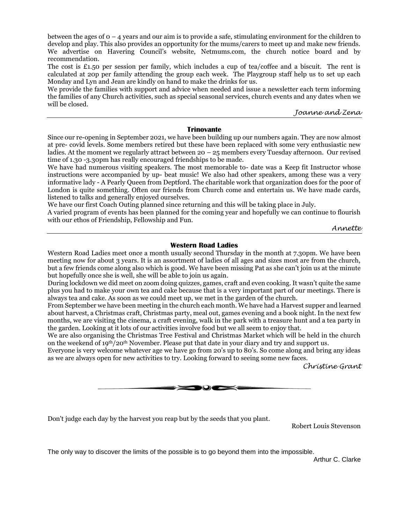between the ages of 0 – 4 years and our aim is to provide a safe, stimulating environment for the children to develop and play. This also provides an opportunity for the mums/carers to meet up and make new friends. We advertise on Havering Council's website, Netmums.com, the church notice board and by recommendation.

The cost is £1.50 per session per family, which includes a cup of tea/coffee and a biscuit. The rent is calculated at 20p per family attending the group each week. The Playgroup staff help us to set up each Monday and Lyn and Jean are kindly on hand to make the drinks for us.

We provide the families with support and advice when needed and issue a newsletter each term informing the families of any Church activities, such as special seasonal services, church events and any dates when we will be closed.

*Joanne and Zena*

### **Trinovante**

Since our re-opening in September 2021, we have been building up our numbers again. They are now almost at pre- covid levels. Some members retired but these have been replaced with some very enthusiastic new ladies. At the moment we regularly attract between  $20 - 25$  members every Tuesday afternoon. Our revised time of 1.30 -3.30pm has really encouraged friendships to be made.

We have had numerous visiting speakers. The most memorable to- date was a Keep fit Instructor whose instructions were accompanied by up- beat music! We also had other speakers, among these was a very informative lady - A Pearly Queen from Deptford. The charitable work that organization does for the poor of London is quite something. Often our friends from Church come and entertain us. We have made cards, listened to talks and generally enjoyed ourselves.

We have our first Coach Outing planned since returning and this will be taking place in July.

A varied program of events has been planned for the coming year and hopefully we can continue to flourish with our ethos of Friendship, Fellowship and Fun.

*Annette*

## **Western Road Ladies**

Western Road Ladies meet once a month usually second Thursday in the month at 7.30pm. We have been meeting now for about 3 years. It is an assortment of ladies of all ages and sizes most are from the church, but a few friends come along also which is good. We have been missing Pat as she can't join us at the minute but hopefully once she is well, she will be able to join us again.

During lockdown we did meet on zoom doing quizzes, games, craft and even cooking. It wasn't quite the same plus you had to make your own tea and cake because that is a very important part of our meetings. There is always tea and cake. As soon as we could meet up, we met in the garden of the church.

From September we have been meeting in the church each month. We have had a Harvest supper and learned about harvest, a Christmas craft, Christmas party, meal out, games evening and a book night. In the next few months, we are visiting the cinema, a craft evening, walk in the park with a treasure hunt and a tea party in the garden. Looking at it lots of our activities involve food but we all seem to enjoy that.

We are also organising the Christmas Tree Festival and Christmas Market which will be held in the church on the weekend of 19th/20th November. Please put that date in your diary and try and support us.

Everyone is very welcome whatever age we have go from 20's up to 80's. So come along and bring any ideas as we are always open for new activities to try. Looking forward to seeing some new faces.

*Christine Grant*



Don't judge each day by the harvest you reap but by the seeds that you plant.

[Robert Louis Stevenson](https://www.brainyquote.com/authors/robert-louis-stevenson-quotes)

The only way to discover the limits of the possible is to go beyond them into the impossible.

[Arthur C. Clarke](https://www.brainyquote.com/authors/arthur-c-clarke-quotes)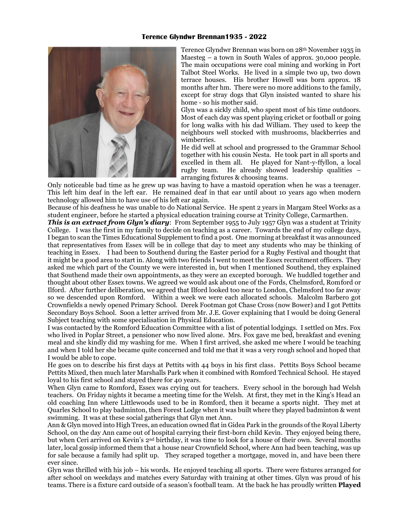## **Terence Glyndwr Brennan1935 - 2022**



Terence Glyndwr Brennan was born on 28th November 1935 in Maesteg – a town in South Wales of approx. 30,000 people. The main occupations were coal mining and working in Port Talbot Steel Works. He lived in a simple two up, two down terrace houses. His brother Howell was born approx. 18 months after hm. There were no more additions to the family, except for stray dogs that Glyn insisted wanted to share his home - so his mother said.

Glyn was a sickly child, who spent most of his time outdoors. Most of each day was spent playing cricket or football or going for long walks with his dad William. They used to keep the neighbours well stocked with mushrooms, blackberries and wimberries.

He did well at school and progressed to the Grammar School together with his cousin Nesta. He took part in all sports and excelled in them all. He played for Nant-y-ffyllon, a local rugby team. He already showed leadership qualities – arranging fixtures & choosing teams.

Only noticeable bad time as he grew up was having to have a mastoid operation when he was a teenager. This left him deaf in the left ear. He remained deaf in that ear until about 10 years ago when modern technology allowed him to have use of his left ear again.

Because of his deafness he was unable to do National Service. He spent 2 years in Margam Steel Works as a student engineer, before he started a physical education training course at Trinity College, Carmarthen.

*This is an extract from Glyn's diary*: From September 1955 to July 1957 Glyn was a student at Trinity College. I was the first in my family to decide on teaching as a career. Towards the end of my college days, I began to scan the Times Educational Supplement to find a post. One morning at breakfast it was announced that representatives from Essex will be in college that day to meet any students who may be thinking of teaching in Essex. I had been to Southend during the Easter period for a Rugby Festival and thought that it might be a good area to start in. Along with two friends I went to meet the Essex recruitment officers. They asked me which part of the County we were interested in, but when I mentioned Southend, they explained that Southend made their own appointments, as they were an excepted borough. We huddled together and thought about other Essex towns. We agreed we would ask about one of the Fords, Chelmsford, Romford or Ilford. After further deliberation, we agreed that Ilford looked too near to London, Chelmsford too far away so we descended upon Romford. Within a week we were each allocated schools. Malcolm Barbero got Crownfields a newly opened Primary School. Derek Footman got Chase Cross (now Bower) and I got Pettits Secondary Boys School. Soon a letter arrived from Mr. J.E. Gover explaining that I would be doing General Subject teaching with some specialisation in Physical Education.

I was contacted by the Romford Education Committee with a list of potential lodgings. I settled on Mrs. Fox who lived in Poplar Street, a pensioner who now lived alone. Mrs. Fox gave me bed, breakfast and evening meal and she kindly did my washing for me. When I first arrived, she asked me where I would be teaching and when I told her she became quite concerned and told me that it was a very rough school and hoped that I would be able to cope.

He goes on to describe his first days at Pettits with 44 boys in his first class. Pettits Boys School became Pettits Mixed, then much later Marshalls Park when it combined with Romford Technical School. He stayed loyal to his first school and stayed there for 40 years.

When Glyn came to Romford, Essex was crying out for teachers. Every school in the borough had Welsh teachers. On Friday nights it became a meeting time for the Welsh. At first, they met in the King's Head an old coaching Inn where Littlewoods used to be in Romford, then it became a sports night. They met at Quarles School to play badminton, then Forest Lodge when it was built where they played badminton & went swimming. It was at these social gatherings that Glyn met Ann.

Ann & Glyn moved into High Trees, an education owned flat in Gidea Park in the grounds of the Royal Liberty School, on the day Ann came out of hospital carrying their first-born child Kevin. They enjoyed being there, but when Ceri arrived on Kevin's 2nd birthday, it was time to look for a house of their own. Several months later, local gossip informed them that a house near Crownfield School, where Ann had been teaching, was up for sale because a family had split up. They scraped together a mortgage, moved in, and have been there ever since.

Glyn was thrilled with his job – his words. He enjoyed teaching all sports. There were fixtures arranged for after school on weekdays and matches every Saturday with training at other times. Glyn was proud of his teams. There is a fixture card outside of a season's football team. At the back he has proudly written **Played**